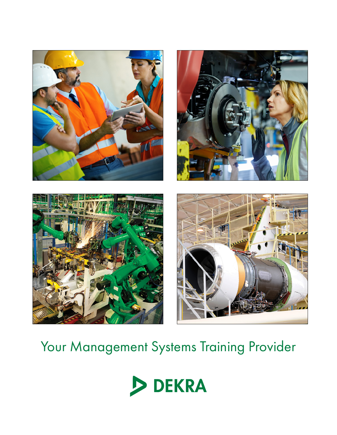







# Your Management Systems Training Provider

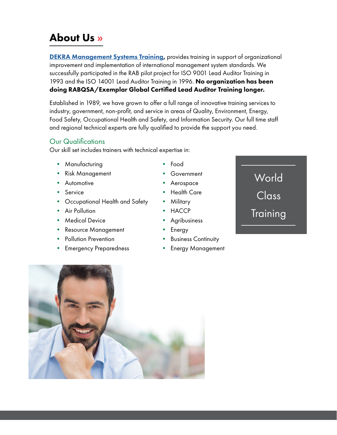## About Us »

**[DEKRA Management Systems Training](https://www.dekra.us/en/training/overview/),** provides training in support of organizational improvement and implementation of international management system standards. We successfully participated in the RAB pilot project for ISO 9001 Lead Auditor Training in 1993 and the ISO 14001 Lead Auditor Training in 1996. No organization has been doing RABQSA/Exemplar Global Certified Lead Auditor Training longer.

Established in 1989, we have grown to offer a full range of innovative training services to industry, government, non-profit, and service in areas of Quality, Environment, Energy, Food Safety, Occupational Health and Safety, and Information Security. Our full time staff and regional technical experts are fully qualified to provide the support you need.

#### Our Qualifications

Our skill set includes trainers with technical expertise in:

- Manufacturing
- Risk Management
- Automotive
- **Service**
- Occupational Health and Safety
- Air Pollution
- Medical Device
- Resource Management
- Pollution Prevention
- Emergency Preparedness
- Food
- Government
- Aerospace
- Health Care
- Military
- HACCP
- **Agribusiness**
- Energy
- Business Continuity
- Energy Management



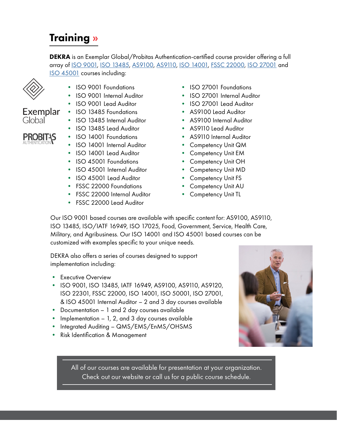## Training »

DEKRA is an Exemplar Global/Probitas Authentication-certified course provider offering a full array of [ISO 9001](https://www.dekra.us/en/training/iso-9001-training/), [ISO 13485,](https://www.dekra.us/en/training/iso-13485-training/) [AS9100, AS9110](https://www.dekra.us/en/training/as-training/), [ISO 14001,](https://www.dekra.us/en/training/iso-14001-training/) [FSSC 22000](https://www.dekra.us/en/training/food-safety-training/), [ISO 27001](https://www.dekra.us/en/training/iso-27001-training/) and [ISO 45001](https://www.dekra.us/en/training/45001-virtual/) courses including:



Global

- ISO 9001 Foundations
- ISO 9001 Internal Auditor
- ISO 9001 Lead Auditor
- ISO 13485 Foundations
- ISO 13485 Internal Auditor
- **PROBIT+S**

Exemplar

- ISO 13485 Lead Auditor • ISO 14001 Foundations
- ISO 14001 Internal Auditor
- ISO 14001 Lead Auditor
- ISO 45001 Foundations
- ISO 45001 Internal Auditor
- ISO 45001 Lead Auditor
- FSSC 22000 Foundations
- **FSSC 22000 Internal Auditor**
- FSSC 22000 Lead Auditor
- ISO 27001 Foundations
- ISO 27001 Internal Auditor
- ISO 27001 Lead Auditor
- AS9100 Lead Auditor
- AS9100 Internal Auditor
- AS9110 Lead Auditor
- AS9110 Internal Auditor
- Competency Unit QM
- Competency Unit EM
- Competency Unit OH
- Competency Unit MD
- Competency Unit FS
- Competency Unit AU
- Competency Unit TL

Our ISO 9001 based courses are available with specific content for: AS9100, AS9110, ISO 13485, ISO/IATF 16949, ISO 17025, Food, Government, Service, Health Care, Military, and Agribusiness. Our ISO 14001 and ISO 45001 based courses can be customized with examples specific to your unique needs.

DEKRA also offers a series of courses designed to support implementation including:

- Executive Overview
- ISO 9001, ISO 13485, IATF 16949, AS9100, AS9110, AS9120, ISO 22301, FSSC 22000, ISO 14001, ISO 50001, ISO 27001, & ISO 45001 Internal Auditor – 2 and 3 day courses available
- Documentation 1 and 2 day courses available
- Implementation 1, 2, and 3 day courses available
- Integrated Auditing QMS/EMS/EnMS/OHSMS
- Risk Identification & Management



[All of our courses are available for presentation at your organization.](https://www.dekra.us/en/training/training-quote/) Check out our website or call us for a public course schedule.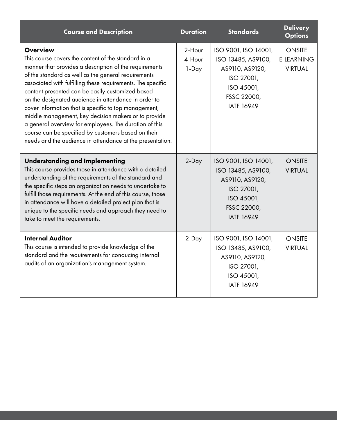| <b>Course and Description</b>                                                                                                                                                                                                                                                                                                                                                                                                                                                                                                                                                                                                                                     | <b>Duration</b>           | <b>Standards</b>                                                                                                              | <b>Delivery</b><br><b>Options</b>                    |
|-------------------------------------------------------------------------------------------------------------------------------------------------------------------------------------------------------------------------------------------------------------------------------------------------------------------------------------------------------------------------------------------------------------------------------------------------------------------------------------------------------------------------------------------------------------------------------------------------------------------------------------------------------------------|---------------------------|-------------------------------------------------------------------------------------------------------------------------------|------------------------------------------------------|
| <b>Overview</b><br>This course covers the content of the standard in a<br>manner that provides a description of the requirements<br>of the standard as well as the general requirements<br>associated with fulfilling these requirements. The specific<br>content presented can be easily customized based<br>on the designated audience in attendance in order to<br>cover information that is specific to top management,<br>middle management, key decision makers or to provide<br>a general overview for employees. The duration of this<br>course can be specified by customers based on their<br>needs and the audience in attendance at the presentation. | 2-Hour<br>4-Hour<br>1-Day | ISO 9001, ISO 14001,<br>ISO 13485, AS9100,<br>AS9110, AS9120,<br>ISO 27001,<br>ISO 45001,<br>FSSC 22000,<br><b>IATF 16949</b> | <b>ONSITE</b><br><b>E-LEARNING</b><br><b>VIRTUAL</b> |
| <b>Understanding and Implementing</b><br>This course provides those in attendance with a detailed<br>understanding of the requirements of the standard and<br>the specific steps an organization needs to undertake to<br>fulfill those requirements. At the end of this course, those<br>in attendance will have a detailed project plan that is<br>unique to the specific needs and approach they need to<br>take to meet the requirements.                                                                                                                                                                                                                     | 2-Day                     | ISO 9001, ISO 14001,<br>ISO 13485, AS9100,<br>AS9110, AS9120,<br>ISO 27001,<br>ISO 45001,<br>FSSC 22000,<br><b>IATF 16949</b> | <b>ONSITE</b><br><b>VIRTUAL</b>                      |
| <b>Internal Auditor</b><br>This course is intended to provide knowledge of the<br>standard and the requirements for conducing internal<br>audits of an organization's management system.                                                                                                                                                                                                                                                                                                                                                                                                                                                                          | 2-Day                     | ISO 9001, ISO 14001,<br>ISO 13485, AS9100,<br>AS9110, AS9120,<br>ISO 27001,<br>ISO 45001,<br><b>IATF 16949</b>                | <b>ONSITE</b><br><b>VIRTUAL</b>                      |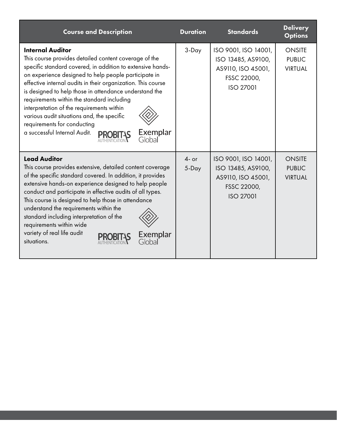| <b>Course and Description</b>                                                                                                                                                                                                                                                                                                                                                                                                                                                                                                                                  | <b>Duration</b>  | <b>Standards</b>                                                                                    | <b>Delivery</b><br><b>Options</b>                |
|----------------------------------------------------------------------------------------------------------------------------------------------------------------------------------------------------------------------------------------------------------------------------------------------------------------------------------------------------------------------------------------------------------------------------------------------------------------------------------------------------------------------------------------------------------------|------------------|-----------------------------------------------------------------------------------------------------|--------------------------------------------------|
| <b>Internal Auditor</b><br>This course provides detailed content coverage of the<br>specific standard covered, in addition to extensive hands-<br>on experience designed to help people participate in<br>effective internal audits in their organization. This course<br>is designed to help those in attendance understand the<br>requirements within the standard including<br>interpretation of the requirements within<br>various audit situations and, the specific<br>requirements for conducting<br>a successful Internal Audit.<br>Exemplar<br>Global | 3-Day            | ISO 9001, ISO 14001,<br>ISO 13485, AS9100,<br>AS9110, ISO 45001,<br>FSSC 22000,<br><b>ISO 27001</b> | <b>ONSITE</b><br><b>PUBLIC</b><br><b>VIRTUAL</b> |
| <b>Lead Auditor</b><br>This course provides extensive, detailed content coverage<br>of the specific standard covered. In addition, it provides<br>extensive hands-on experience designed to help people<br>conduct and participate in effective audits of all types.<br>This course is designed to help those in attendance<br>understand the requirements within the<br>standard including interpretation of the<br>requirements within wide<br>variety of real life audit<br>Exemplar<br>situations.<br>Global                                               | $4-$ or<br>5-Day | ISO 9001, ISO 14001,<br>ISO 13485, AS9100,<br>AS9110, ISO 45001,<br>FSSC 22000,<br><b>ISO 27001</b> | <b>ONSITE</b><br><b>PUBLIC</b><br><b>VIRTUAL</b> |